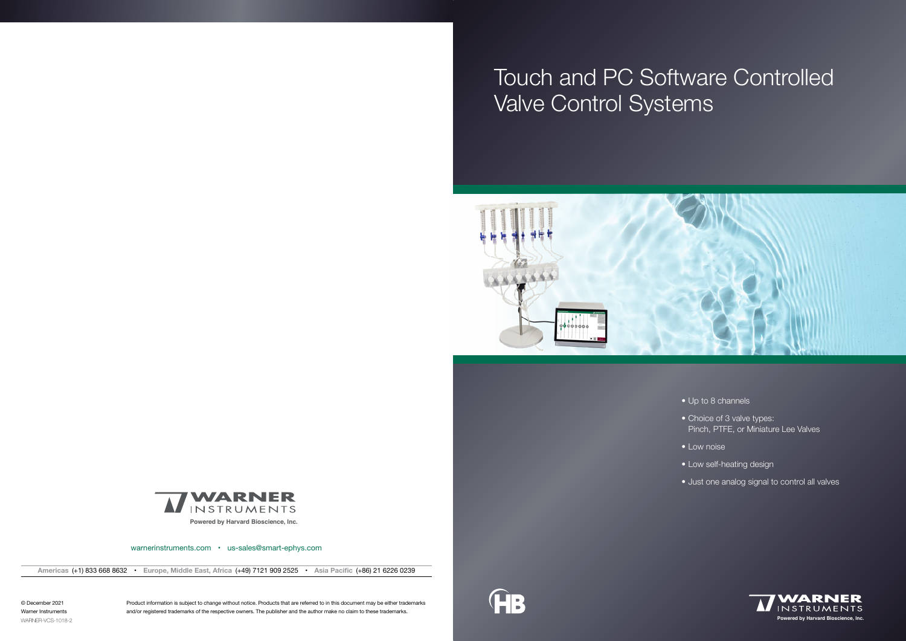

warnerinstruments.com • us-sales@smart-ephys.com



**Americas** (+1) 833 668 8632 • **Europe, Middle East, Africa** (+49) 7121 909 2525 • **Asia Pacific** (+86) 21 6226 0239

- Up to 8 channels
- Choice of 3 valve types: Pinch, PTFE, or Miniature Lee Valves
- Low noise
- Low self-heating design
- Just one analog signal to control all valves

Product information is subject to change without notice. Products that are referred to in this document may be either trademarks and/or registered trademarks of the respective owners. The publisher and the author make no claim to these trademarks.



© December 2021 Warner Instruments WARNER-VCS-1018-2

# Touch and PC Software Controlled Valve Control Systems